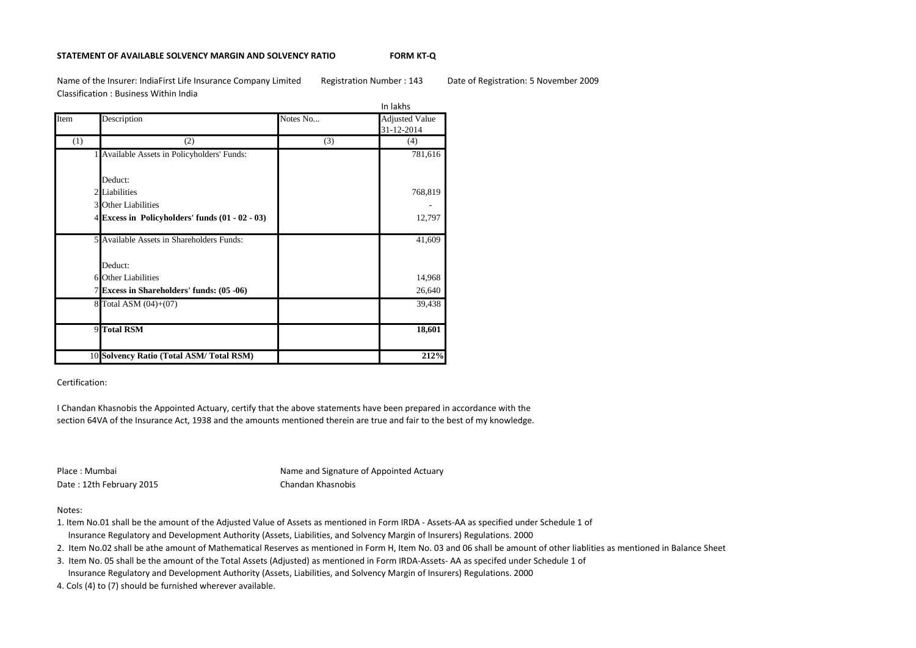### **STATEMENT OF AVAILABLE SOLVENCY MARGIN AND SOLVENCY RATIO FORM KT-Q**

Name of the Insurer: IndiaFirst Life Insurance Company Limited Registration Number : 143 Date of Registration: 5 November 2009 Classification : Business Within India

|      |                                                   |          | In lakhs                            |
|------|---------------------------------------------------|----------|-------------------------------------|
| Item | Description                                       | Notes No | <b>Adjusted Value</b><br>31-12-2014 |
| (1)  | (2)                                               | (3)      | (4)                                 |
|      | 1 Available Assets in Policyholders' Funds:       |          | 781,616                             |
|      | Deduct:                                           |          |                                     |
|      | 2 Liabilities                                     |          | 768,819                             |
|      | 3 Other Liabilities                               |          |                                     |
|      | 4 Excess in Policyholders' funds $(01 - 02 - 03)$ |          | 12,797                              |
|      | 5 Available Assets in Shareholders Funds:         |          | 41,609                              |
|      | Deduct:                                           |          |                                     |
|      | 6 Other Liabilities                               |          | 14,968                              |
|      | 7 Excess in Shareholders' funds: (05 -06)         |          | 26,640                              |
|      | 8 Total ASM (04)+(07)                             |          | 39,438                              |
|      | 9 Total RSM                                       |          | 18,601                              |
|      | 10 Solvency Ratio (Total ASM/Total RSM)           |          | 212%                                |

## Certification:

I Chandan Khasnobis the Appointed Actuary, certify that the above statements have been prepared in accordance with the section 64VA of the Insurance Act, 1938 and the amounts mentioned therein are true and fair to the best of my knowledge.

Date : 12th February 2015 Chandan Khasnobis

Place : Mumbai **Name and Signature of Appointed Actuary** Counter - Signature - Signature - Signature - Signature of Appointed Actuary

## Notes:

- 1. Item No.01 shall be the amount of the Adjusted Value of Assets as mentioned in Form IRDA Assets-AA as specified under Schedule 1 of Insurance Regulatory and Development Authority (Assets, Liabilities, and Solvency Margin of Insurers) Regulations. 2000
- 2. Item No.02 shall be athe amount of Mathematical Reserves as mentioned in Form H, Item No. 03 and 06 shall be amount of other liablities as mentioned in Balance Sheet
- 3. Item No. 05 shall be the amount of the Total Assets (Adjusted) as mentioned in Form IRDA-Assets- AA as specifed under Schedule 1 of Insurance Regulatory and Development Authority (Assets, Liabilities, and Solvency Margin of Insurers) Regulations. 2000
- 4. Cols (4) to (7) should be furnished wherever available.